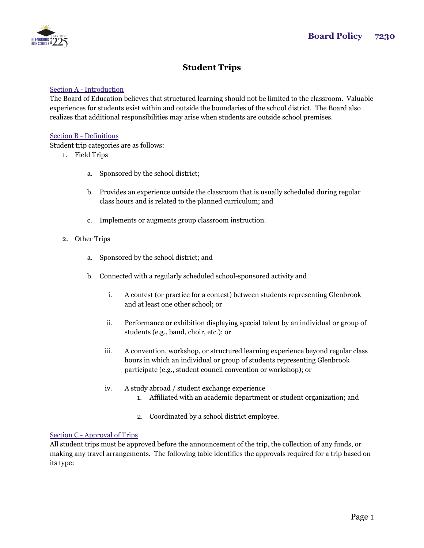

# **Student Trips**

#### Section A - Introduction

The Board of Education believes that structured learning should not be limited to the classroom. Valuable experiences for students exist within and outside the boundaries of the school district. The Board also realizes that additional responsibilities may arise when students are outside school premises.

#### Section B - Definitions

Student trip categories are as follows:

- 1. Field Trips
	- a. Sponsored by the school district;
	- b. Provides an experience outside the classroom that is usually scheduled during regular class hours and is related to the planned curriculum; and
	- c. Implements or augments group classroom instruction.
- 2. Other Trips
	- a. Sponsored by the school district; and
	- b. Connected with a regularly scheduled school-sponsored activity and
		- i. A contest (or practice for a contest) between students representing Glenbrook and at least one other school; or
		- ii. Performance or exhibition displaying special talent by an individual or group of students (e.g., band, choir, etc.); or
		- iii. A convention, workshop, or structured learning experience beyond regular class hours in which an individual or group of students representing Glenbrook participate (e.g., student council convention or workshop); or
		- iv. A study abroad / student exchange experience
			- 1. Affiliated with an academic department or student organization; and
			- 2. Coordinated by a school district employee.

## Section C - Approval of Trips

All student trips must be approved before the announcement of the trip, the collection of any funds, or making any travel arrangements. The following table identifies the approvals required for a trip based on its type: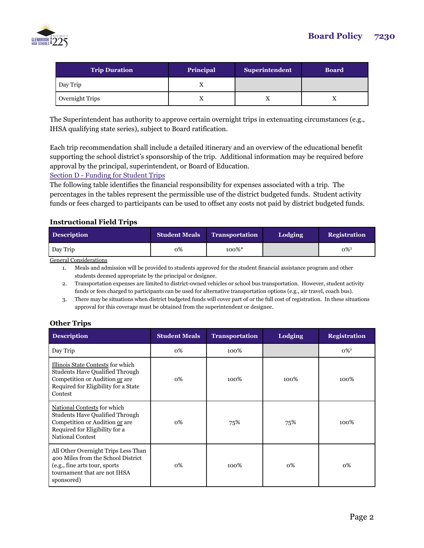

| <b>Trip Duration</b> | Principal | <b>Superintendent</b> | <b>Board</b> |
|----------------------|-----------|-----------------------|--------------|
| Day Trip             |           |                       |              |
| Overnight Trips      |           |                       |              |

The Superintendent has authority to approve certain overnight trips in extenuating circumstances (e.g., IHSA qualifying state series), subject to Board ratification.

Each trip recommendation shall include a detailed itinerary and an overview of the educational benefit supporting the school district's sponsorship of the trip. Additional information may be required before approval by the principal, superintendent, or Board of Education.

Section D - Funding for Student Trips

The following table identifies the financial responsibility for expenses associated with a trip. The percentages in the tables represent the permissible use of the district budgeted funds. Student activity funds or fees charged to participants can be used to offset any costs not paid by district budgeted funds.

## **Instructional Field Trips**

| <b>Description</b> | <b>Student Meals</b> | <b>Transportation</b> | Lodging | <b>Registration</b> |
|--------------------|----------------------|-----------------------|---------|---------------------|
| Day Trip           | 0%                   | 100%*                 |         | $0\%$ <sup>3</sup>  |

General Considerations

1. Meals and admission will be provided to students approved for the student financial assistance program and other students deemed appropriate by the principal or designee.

2. Transportation expenses are limited to district-owned vehicles or school bus transportation. However, student activity funds or fees charged to participants can be used for alternative transportation options (e.g., air travel, coach bus).

# **Other Trips**

| <b>Description</b>                                                                                                                                               | <b>Student Meals</b> | <b>Transportation</b> | Lodging | <b>Registration</b> |
|------------------------------------------------------------------------------------------------------------------------------------------------------------------|----------------------|-----------------------|---------|---------------------|
| Day Trip                                                                                                                                                         | 0%                   | 100%                  |         | $0\%$ <sup>2</sup>  |
| Illinois State Contests for which<br><b>Students Have Qualified Through</b><br>Competition or Audition or are<br>Required for Eligibility for a State<br>Contest | 0%                   | 100%                  | 100%    | 100%                |
| National Contests for which<br><b>Students Have Qualified Through</b><br>Competition or Audition or are<br>Required for Eligibility for a<br>National Contest    | 0%                   | 75%                   | 75%     | 100%                |
| All Other Overnight Trips Less Than<br>400 Miles from the School District<br>(e.g., fine arts tour, sports)<br>tournament that are not IHSA<br>sponsored)        | 0%                   | 100%                  | 0%      | 0%                  |

<sup>3.</sup> There may be situations when district budgeted funds will cover part of or the full cost of registration. In these situations approval for this coverage must be obtained from the superintendent or designee.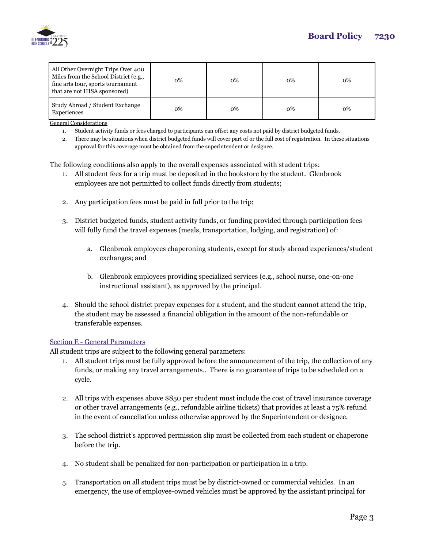

| All Other Overnight Trips Over 400<br>Miles from the School District (e.g.,<br>fine arts tour, sports tournament<br>that are not IHSA sponsored) | о% | $0\%$ | 0% | $0\%$ |
|--------------------------------------------------------------------------------------------------------------------------------------------------|----|-------|----|-------|
| Study Abroad / Student Exchange<br>Experiences                                                                                                   | 0% | $0\%$ | 0% | 0%    |

General Considerations

- 1. Student activity funds or fees charged to participants can offset any costs not paid by district budgeted funds.
- 2. There may be situations when district budgeted funds will cover part of or the full cost of registration. In these situations approval for this coverage must be obtained from the superintendent or designee.

The following conditions also apply to the overall expenses associated with student trips:

- 1. All student fees for a trip must be deposited in the bookstore by the student. Glenbrook employees are not permitted to collect funds directly from students;
- 2. Any participation fees must be paid in full prior to the trip;
- 3. District budgeted funds, student activity funds, or funding provided through participation fees will fully fund the travel expenses (meals, transportation, lodging, and registration) of:
	- a. Glenbrook employees chaperoning students, except for study abroad experiences/student exchanges; and
	- b. Glenbrook employees providing specialized services (e.g., school nurse, one-on-one instructional assistant), as approved by the principal.
- 4. Should the school district prepay expenses for a student, and the student cannot attend the trip, the student may be assessed a financial obligation in the amount of the non-refundable or transferable expenses.

#### Section E - General Parameters

All student trips are subject to the following general parameters:

- 1. All student trips must be fully approved before the announcement of the trip, the collection of any funds, or making any travel arrangements.. There is no guarantee of trips to be scheduled on a cycle.
- 2. All trips with expenses above \$850 per student must include the cost of travel insurance coverage or other travel arrangements (e.g., refundable airline tickets) that provides at least a 75% refund in the event of cancellation unless otherwise approved by the Superintendent or designee.
- 3. The school district's approved permission slip must be collected from each student or chaperone before the trip.
- 4. No student shall be penalized for non-participation or participation in a trip.
- 5. Transportation on all student trips must be by district-owned or commercial vehicles. In an emergency, the use of employee-owned vehicles must be approved by the assistant principal for